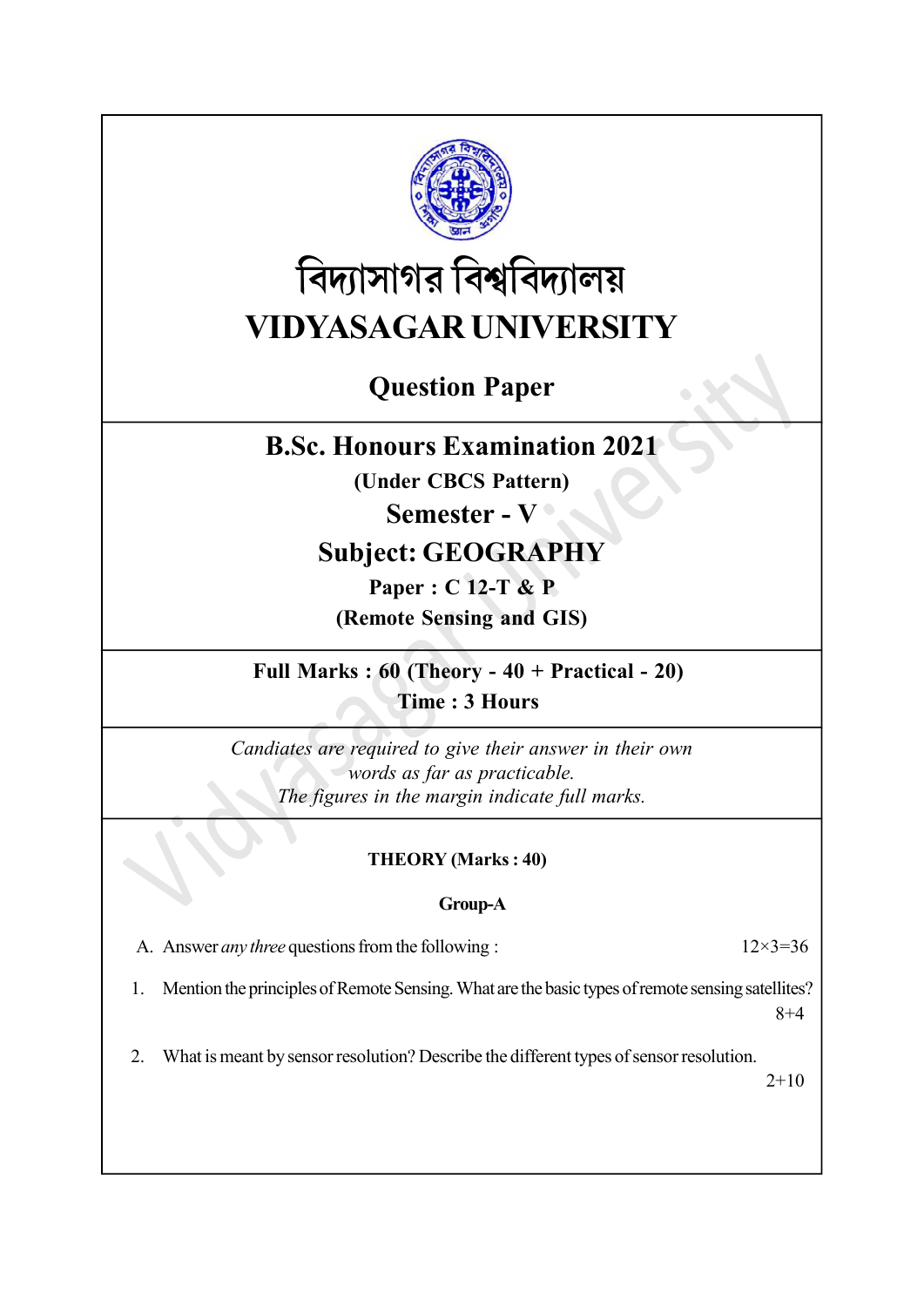

# বিদ্যাসাগর বিশ্ববিদ্যালয় VIDYASAGAR UNIVERSITY

# Question Paper

### B.Sc. Honours Examination 2021

(Under CBCS Pattern)

### Semester - V <sup>o</sup>

## Subject: GEOGRAPHY

Paper : C 12-T & P (Remote Sensing and GIS)

Full Marks : 60 (Theory - 40 + Practical - 20) Time : 3 Hours

Candiates are required to give their answer in their own words as far as practicable. The figures in the margin indicate full marks.

### THEORY (Marks : 40)

#### Group-A

A. Answer *any three* questions from the following :  $12 \times 3 = 36$ 

1. Mention the principles of Remote Sensing. What are the basic types of remote sensing satellites? 8+4

2. What is meant by sensor resolution? Describe the different types of sensor resolution.

 $2+10$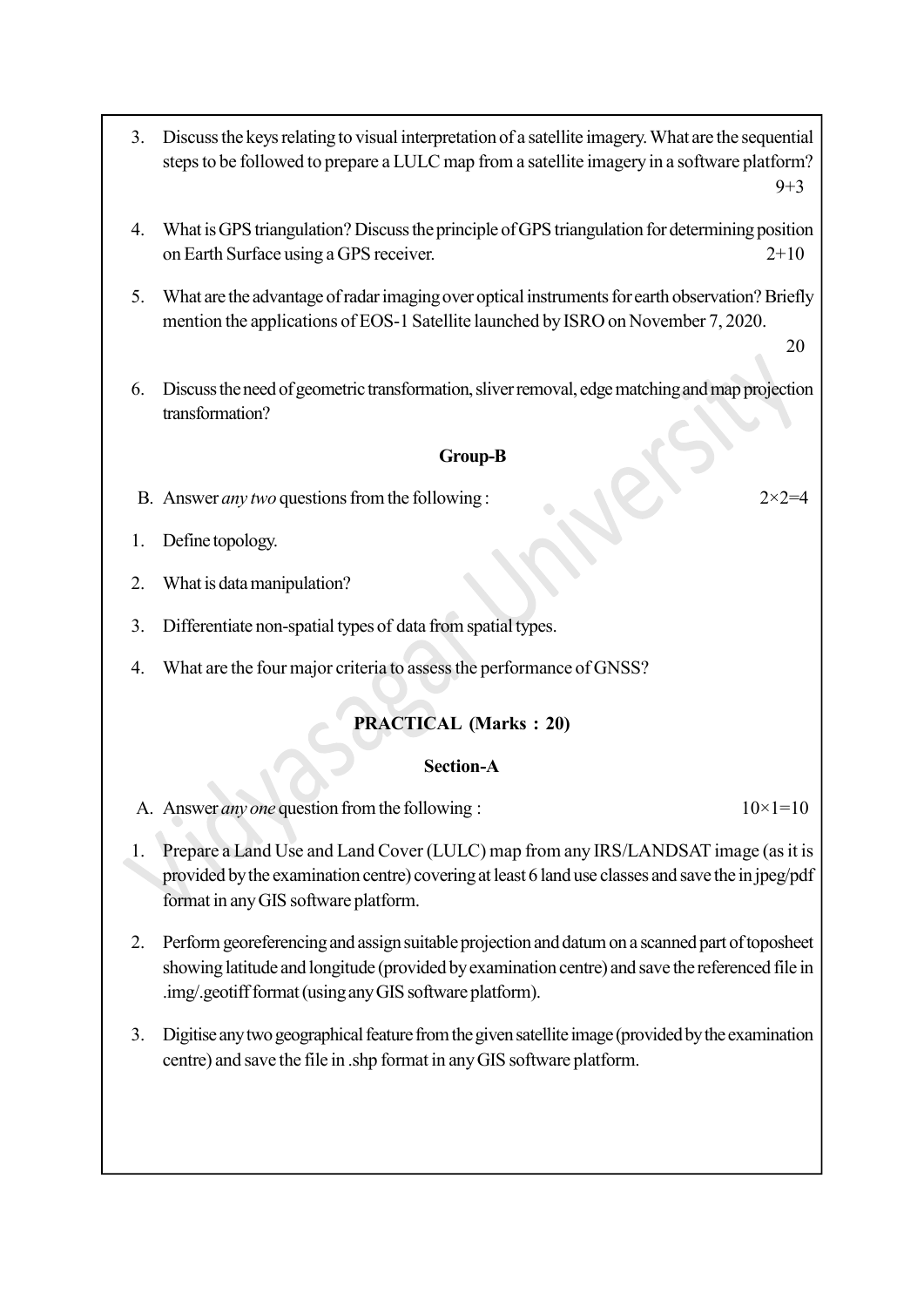- 3. Discuss the keys relating to visual interpretation of a satellite imagery. What are the sequential steps to be followed to prepare a LULC map from a satellite imagery in a software platform?  $9 + 3$
- 4. What is GPS triangulation? Discuss the principle of GPS triangulation for determining position on Earth Surface using a GPS receiver. 2+10
- 5. What are the advantage of radar imaging over optical instruments for earth observation? Briefly mention the applications of EOS-1 Satellite launched by ISRO on November 7, 2020.

20

6. Discuss the need of geometric transformation, sliver removal, edge matching and map projection transformation?

#### Group-B

- B. Answer *any two* questions from the following :  $2 \times 2 = 4$
- 1. Define topology.
- 2. What is data manipulation?
- 3. Differentiate non-spatial types of data from spatial types.
- 4. What are the four major criteria to assess the performance of GNSS?

#### PRACTICAL (Marks : 20)

#### Section-A

A. Answer *any one* question from the following :  $10 \times 1 = 10$ 

- 1. Prepare a Land Use and Land Cover (LULC) map from any IRS/LANDSAT image (as it is provided by the examination centre) covering at least 6 land use classes and save the in jpeg/pdf format in any GIS software platform.
- 2. Perform georeferencing and assign suitable projection and datum on a scanned part of toposheet showing latitude and longitude (provided by examination centre) and save the referenced file in .img/.geotiff format (using any GIS software platform).
- 3. Digitise any two geographical feature from the given satellite image (provided by the examination centre) and save the file in .shp format in any GIS software platform.